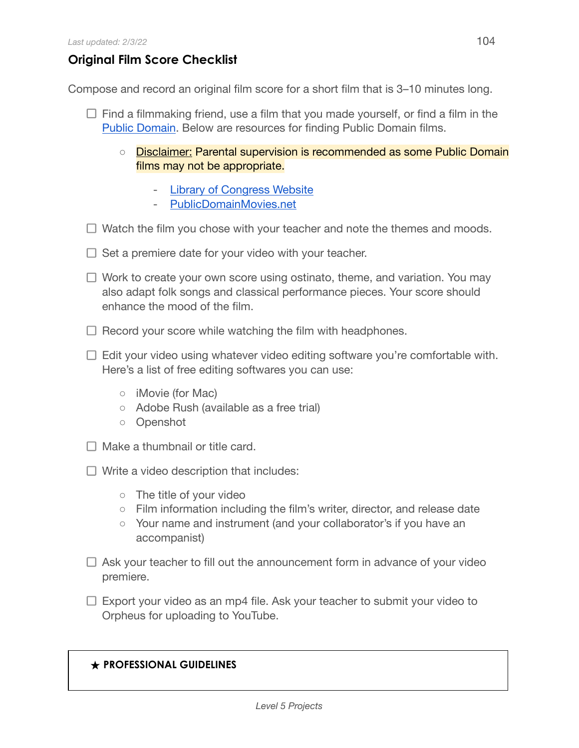## **Original Film Score Checklist**

Compose and record an original film score for a short film that is 3–10 minutes long.

- $\Box$  Find a filmmaking friend, use a film that you made yourself, or find a film in the Public [Domain](https://fairuse.stanford.edu/overview/public-domain/welcome/#:~:text=The%20term%20%E2%80%9Cpublic%20domain%E2%80%9D%20refers,one%20can%20ever%20own%20it.). Below are resources for finding Public Domain films.
	- Disclaimer: Parental supervision is recommended as some Public Domain films may not be appropriate.
		- Library of [Congress Website](https://www.loc.gov/free-to-use/public-domain-films-from-the-national-film-registry/)
		- [PublicDomainMovies.net](http://publicdomainmovie.net/)
- $\Box$  Watch the film you chose with your teacher and note the themes and moods.
- $\Box$  Set a premiere date for your video with your teacher.
- $\Box$  Work to create your own score using ostinato, theme, and variation. You may also adapt folk songs and classical performance pieces. Your score should enhance the mood of the film.
- $\Box$  Record your score while watching the film with headphones.
- $\Box$  Edit your video using whatever video editing software you're comfortable with. Here's a list of free editing softwares you can use:
	- iMovie (for Mac)
	- Adobe Rush (available as a free trial)
	- Openshot
- $\Box$  Make a thumbnail or title card.
- $\Box$  Write a video description that includes:
	- The title of your video
	- Film information including the film's writer, director, and release date
	- Your name and instrument (and your collaborator's if you have an accompanist)
- $\Box$  Ask your teacher to fill out the announcement form in advance of your video premiere.
- $\Box$  Export your video as an mp4 file. Ask your teacher to submit your video to Orpheus for uploading to YouTube.

## **★ PROFESSIONAL GUIDELINES**